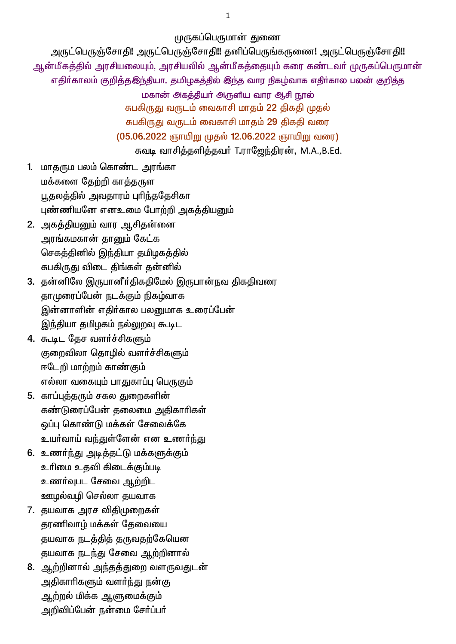முருகப்பெருமான் துணை

அருட்பெருஞ்சோதி! அருட்பெருஞ்சோதி!! தனிப்பெருங்கருணை! அருட்பெருஞ்சோதி!! ஆன்மீகத்தில் அரசியலையும், அரசியலில் ஆன்மீகத்தையும் கரை கண்டவர் முருகப்பெருமான் எதிர்காலம் குறித்தஇந்தியா, தமிழகத்தில் இந்த வார நிகழ்வாக எதிர்கால பலன் குறித்த

மகான் அகத்தியா் அருளிய வார ஆசி நூல்

சுபகிருது வருடம் வைகாசி மாதம் 22 திகதி முதல்

சுபகிருது வருடம் வைகாசி மாதம் 29 திகதி வரை

(05.06.2022 ஞாயிறு முதல் 12.06.2022 ஞாயிறு வரை)

சுவடி வாசித்தளித்தவர் T.ராஜேந்திரன், M.A.,B.Ed.

- 1. மாதரும பலம் கொண்ட அரங்கா மக்களை தேற்றி காத்தருள பூதலத்தில் அவதாரம் புரிந்ததேசிகா புண்ணியனே எனஉமை போற்றி அகத்தியனும்
- 2. அகத்தியனும் வார ஆசிதன்னை அரங்கமகான் தானும் கேட்க செகத்தினில் இந்தியா தமிழகத்தில் சுபகிருது விடை திங்கள் தன்னில்
- 3. தன்னிலே இருபானீர்திகதிமேல் இருபான்நவ திகதிவரை தாமுரைப்பேன் நடக்கும் நிகழ்வாக இன்னாளின் எதிர்கால பலனுமாக உரைப்பேன் இந்தியா தமிழகம் நல்லுறவு கூடிட
- 4. கூடிட தேச வளர்ச்சிகளும் குறைவிலா தொழில் வளர்ச்சிகளும் ஈடேறி மாற்றம் காண்கும் எல்லா வகையும் பாதுகாப்பு பெருகும்
- 5. காப்புத்தரும் சகல துறைகளின் கண்டுரைப்பேன் தலைமை அதிகாரிகள் ஒப்பு கொண்டு மக்கள் சேவைக்கே உயர்வாய் வந்துள்ளேன் என உணர்ந்து
- 6. உணர்ந்து அடித்தட்டு மக்களுக்கும் உரிமை உதவி கிடைக்கும்படி உணர்வுபட சேவை ஆற்றிட ஊழல்வழி செல்லா தயவாக
- 7. தயவாக அரச விதிமுறைகள் தரணிவாழ் மக்கள் தேவையை தயவாக நடத்தித் தருவதற்கேயென தயவாக நடந்து சேவை ஆற்றினால்
- 8. ஆற்றினால் அந்தத்துறை வளருவதுடன் அதிகாரிகளும் வளர்<u>ந்து</u> நன்கு ஆற்றல் மிக்க ஆளுமைக்கும் அறிவிப்பேன் நன்மை சேர்ப்பர்